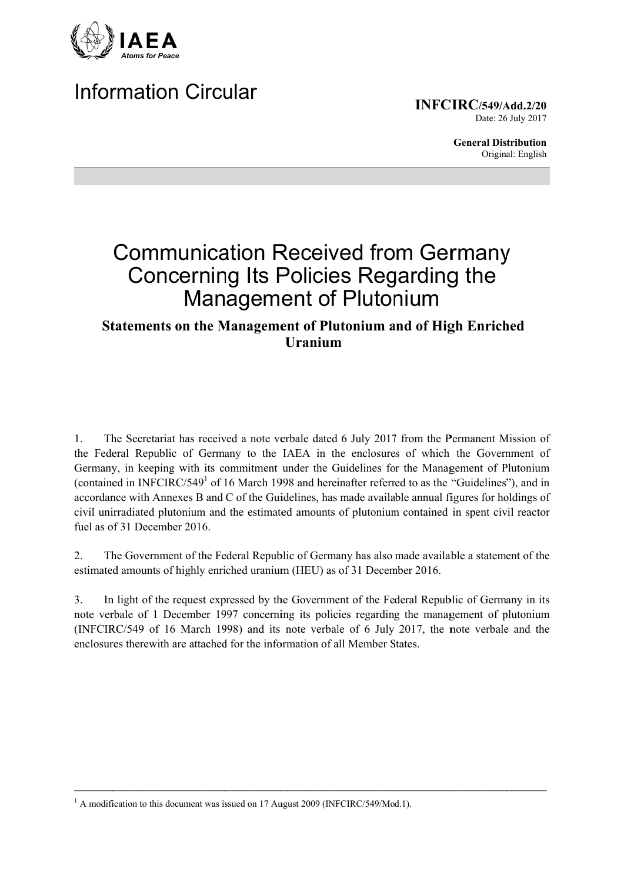

# **Information Circular**

**INFCIRC/549/Add.2/20** Date: 26 July 2017

> **General Distribution** Original: English

# **Communication Received from Germany Concerning Its Policies Regarding the Management of Plutonium**

## **Statements on the Management of Plutonium and of High Enriched Uranium**

The Secretariat has received a note verbale dated 6 July 2017 from the Permanent Mission of  $\mathbf{1}$ the Federal Republic of Germany to the IAEA in the enclosures of which the Government of Germany, in keeping with its commitment under the Guidelines for the Management of Plutonium (contained in INFCIRC/549<sup>1</sup> of 16 March 1998 and hereinafter referred to as the "Guidelines"), and in accordance with Annexes B and C of the Guidelines, has made available annual figures for holdings of civil unirradiated plutonium and the estimated amounts of plutonium contained in spent civil reactor fuel as of 31 December 2016

The Government of the Federal Republic of Germany has also made available a statement of the 2. estimated amounts of highly enriched uranium (HEU) as of 31 December 2016.

 $3<sub>1</sub>$ In light of the request expressed by the Government of the Federal Republic of Germany in its note verbale of 1 December 1997 concerning its policies regarding the management of plutonium (INFCIRC/549 of 16 March 1998) and its note verbale of 6 July 2017, the note verbale and the enclosures there with are attached for the information of all Member States.

 $1$  A modification to this document was issued on 17 August 2009 (INFCIRC/549/Mod.1).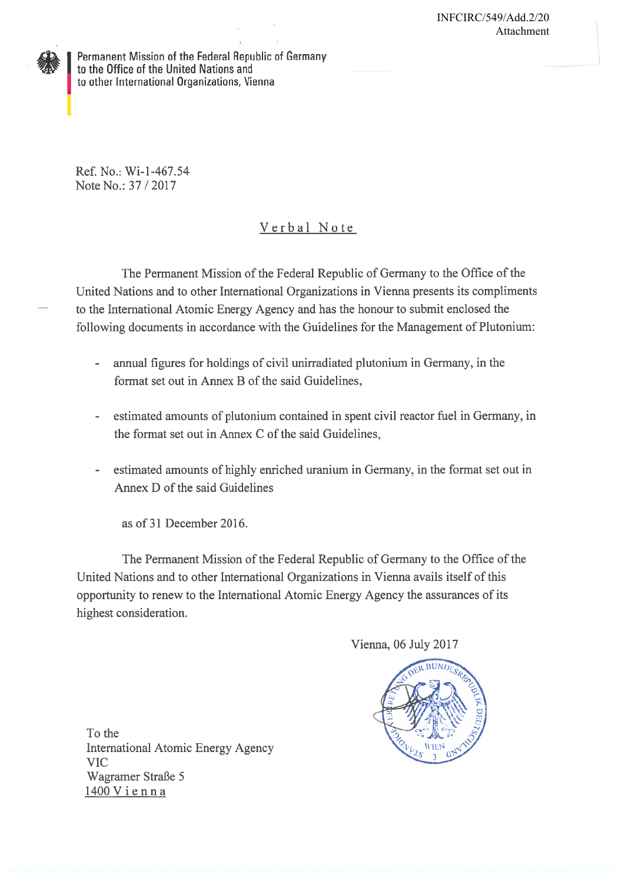Permanent Mission of the Federal Republic of Germany to the Office of the United Nations and to other International Organizations, Vienna

Ref. No.: Wi-1-467.54 Note No.: 37/2017

## Verbal Note

The Permanent Mission of the Federal Republic of Germany to the Office of the United Nations and to other International Organizations in Vienna presents its compliments to the International Atomic Energy Agency and has the honour to submit enclosed the following documents in accordance with the Guidelines for the Management of Plutonium:

- annual figures for holdings of civil unirradiated plutonium in Germany, in the  $\bar{a}$ format set out in Annex B of the said Guidelines,
- estimated amounts of plutonium contained in spent civil reactor fuel in Germany, in the format set out in Annex C of the said Guidelines.
- estimated amounts of highly enriched uranium in Germany, in the format set out in Annex D of the said Guidelines

as of 31 December 2016.

The Permanent Mission of the Federal Republic of Germany to the Office of the United Nations and to other International Organizations in Vienna avails itself of this opportunity to renew to the International Atomic Energy Agency the assurances of its highest consideration.

Vienna, 06 July 2017



To the **International Atomic Energy Agency VIC** Wagramer Straße 5 1400 Vienna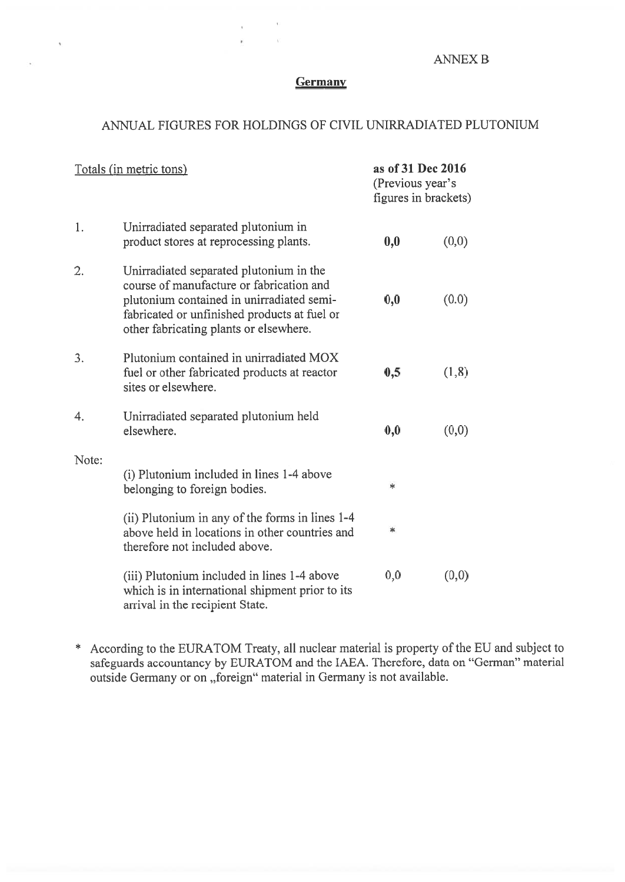### **ANNEX B**

#### Germany

à.

 $\overline{\phantom{a}}$ 

#### ANNUAL FIGURES FOR HOLDINGS OF CIVIL UNIRRADIATED PLUTONIUM

| Totals (in metric tons) |                                                                                                                                                                                                                            | as of 31 Dec 2016<br>(Previous year's<br>figures in brackets) |        |
|-------------------------|----------------------------------------------------------------------------------------------------------------------------------------------------------------------------------------------------------------------------|---------------------------------------------------------------|--------|
| 1.                      | Unirradiated separated plutonium in<br>product stores at reprocessing plants.                                                                                                                                              | 0,0                                                           | (0,0)  |
| 2.                      | Unirradiated separated plutonium in the<br>course of manufacture or fabrication and<br>plutonium contained in unirradiated semi-<br>fabricated or unfinished products at fuel or<br>other fabricating plants or elsewhere. | 0,0                                                           | (0.0)  |
| 3.                      | Plutonium contained in unirradiated MOX<br>fuel or other fabricated products at reactor<br>sites or elsewhere.                                                                                                             | 0,5                                                           | (1, 8) |
| 4.                      | Unirradiated separated plutonium held<br>elsewhere.                                                                                                                                                                        | 0,0                                                           | (0,0)  |
| Note:                   | (i) Plutonium included in lines 1-4 above<br>belonging to foreign bodies.                                                                                                                                                  | *                                                             |        |
|                         | (ii) Plutonium in any of the forms in lines 1-4<br>above held in locations in other countries and<br>therefore not included above.                                                                                         | *                                                             |        |
|                         | (iii) Plutonium included in lines 1-4 above<br>which is in international shipment prior to its<br>arrival in the recipient State.                                                                                          | 0,0                                                           | (0,0)  |

\* According to the EURATOM Treaty, all nuclear material is property of the EU and subject to safeguards accountancy by EURATOM and the IAEA. Therefore, data on "German" material outside Germany or on "foreign" material in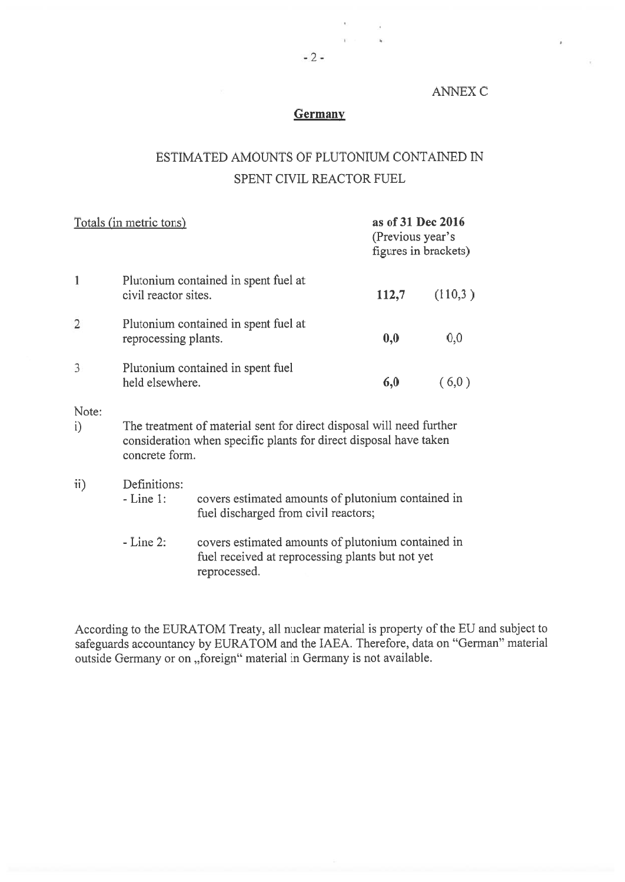#### **ANNEX C**

### Germany

## ESTIMATED AMOUNTS OF PLUTONIUM CONTAINED IN SPENT CIVIL REACTOR FUEL

| Totals (in metric tons) |                                                                                                                                                             |                                                                                            | as of 31 Dec 2016<br>(Previous year's<br>figures in brackets) |         |  |  |
|-------------------------|-------------------------------------------------------------------------------------------------------------------------------------------------------------|--------------------------------------------------------------------------------------------|---------------------------------------------------------------|---------|--|--|
| 1                       | civil reactor sites.                                                                                                                                        | Plutonium contained in spent fuel at                                                       | 112,7                                                         | (110,3) |  |  |
| $\overline{2}$          | reprocessing plants.                                                                                                                                        | Plutonium contained in spent fuel at                                                       | 0,0                                                           | 0,0     |  |  |
| 3                       | Plutonium contained in spent fuel<br>held elsewhere.                                                                                                        |                                                                                            | 6,0                                                           | (6,0)   |  |  |
| Note:<br>$\mathbf{i}$   | The treatment of material sent for direct disposal will need further<br>consideration when specific plants for direct disposal have taken<br>concrete form. |                                                                                            |                                                               |         |  |  |
| $\mathbf{ii}$           | Definitions:<br>$-Line 1:$                                                                                                                                  | covers estimated amounts of plutonium contained in<br>fuel discharged from civil reactors; |                                                               |         |  |  |
|                         | $-Line 2$ :                                                                                                                                                 | covers estimated amounts of plutonium contained in                                         |                                                               |         |  |  |

fuel received at reprocessing plants but not yet reprocessed.

According to the EURATOM Treaty, all nuclear material is property of the EU and subject to safeguards accountancy by EURATOM and the IAEA. Therefore, data on "German" material outside Germany or on "foreign" material in Germany is not available.

 $\ddot{\phantom{a}}$